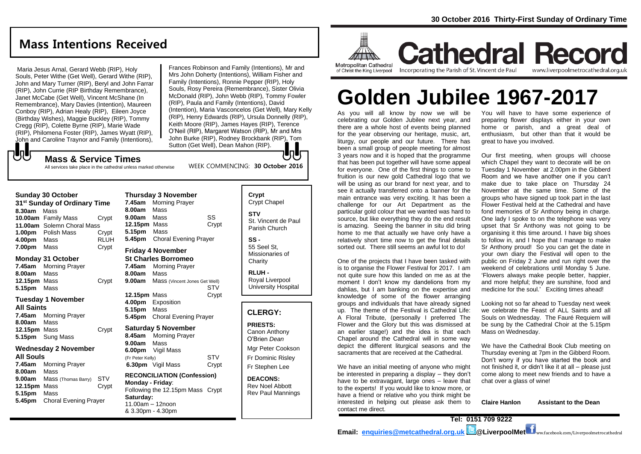## **Mass Intentions Received**

Maria Jesus Arnal, Gerard Webb (RIP), Holy Souls, Peter Withe (Get Well), Gerard Withe (RIP), John and Mary Turner (RIP), Beryl and John Farrar (RIP), John Currie (RIP Birthday Remembrance), Janet McCabe (Get Well), Vincent McShane (In Remembrance), Mary Davies (Intention), Maureen Conboy (RIP), Adrian Healy (RIP), Eileen Joyce (Birthday Wishes), Maggie Buckley (RIP), Tommy Cregg (RIP), Colette Byrne (RIP), Marie Wade (RIP), Philomena Foster (RIP), James Wyatt (RIP), John and Caroline Traynor and Family (Intentions), Frances Robinson and Family (Intentions), Mr and Mrs John Doherty (Intentions), William Fisher and Family (Intentions), Ronnie Pepper (RIP), Holy Souls, Rosy Pereira (Remembrance), Sister Olivia McDonald (RIP), John Webb (RIP), Tommy Fowler (RIP), Paula and Family (Intentions), David (Intention), Maria Vasconcelos (Get Well), Mary Kelly (RIP), Henry Edwards (RIP), Ursula Donnelly (RIP), Keith Moore (RIP), James Hayes (RIP), Terence O'Neil (RIP), Margaret Watson (RIP), Mr and Mrs John Burke (RIP), Rodney Brockbank (RIP), Tom Sutton (Get Well), Dean Mahon (RIP).

WEEK COMMENCING: **30 October 2016**

## **Mass & Service Times**

All services take place in the cathedral unless marked otherwise

| 31 <sup>st</sup> Sunday of Ordinary Time        |                            |       |  |  |
|-------------------------------------------------|----------------------------|-------|--|--|
| 8.30am Mass                                     |                            |       |  |  |
|                                                 | 10.00am Family Mass        | Crypt |  |  |
|                                                 | 11.00am Solemn Choral Mass |       |  |  |
|                                                 | 1.00pm Polish Mass         | Crypt |  |  |
| $\Delta$ 00 $\Delta$ $\Delta$ $\Delta$ $\Delta$ | $M - -$                    | יי יה |  |  |

|                    | TT. UU ahni Solehin Choral Mass |             |
|--------------------|---------------------------------|-------------|
| 1.00 <sub>pm</sub> | Polish Mass                     | Crypt       |
| 4.00pm             | Mass                            | <b>RLUH</b> |
| 7.00pm             | Mass                            | Crypt       |
|                    |                                 |             |

#### **Monday 31 October**

**Sunday 30 October** 

心し

**7.45am** Morning Prayer **8.00am** Mass **12.15pm** Mass Crypt **5.15pm** Mass

#### **Tuesday 1 November All Saints**

**7.45am** Morning Prayer **8.00am** Mass **12.15pm** Mass Crypt **5.15pm** Sung Mass

#### **Wednesday 2 November**

#### **All Souls 7.45am** Morning Prayer

**8.00am** Mass **9.00am** Mass (Thomas Barry) STV **12.15pm** Mass Crypt **5.15pm** Mass **5.45pm** Choral Evening Prayer

| 7.45am                             | <b>Morning Prayer</b>         |       |
|------------------------------------|-------------------------------|-------|
| 8.00am                             | Mass                          |       |
| 9.00am Mass                        |                               | SS    |
| 12.15pm Mass                       |                               | Crypt |
| 5.15pm Mass                        |                               |       |
| 5.45pm                             | <b>Choral Evening Prayer</b>  |       |
|                                    | Friday 4 November             |       |
|                                    | <b>St Charles Borromeo</b>    |       |
|                                    | 7.45am Morning Prayer         |       |
| 8.00am                             | Mass                          |       |
| 9.00am                             | Mass (Vincent Jones Get Well) |       |
|                                    |                               | STV   |
| 12.15pm Mass                       |                               | Crypt |
|                                    | 4.00pm Exposition             |       |
| 5.15pm Mass                        |                               |       |
| 5.45pm                             | <b>Choral Evening Prayer</b>  |       |
|                                    | <b>Saturday 5 November</b>    |       |
|                                    | 8.45am Morning Prayer         |       |
| 9.00am                             | Mass                          |       |
|                                    | 6.00pm Vigil Mass             |       |
| (Fr Peter Kelly)                   |                               | STV   |
|                                    | 6.30pm Vigil Mass             | Crypt |
| <b>RECONCILIATION (Confession)</b> |                               |       |
| Monday - Friday:                   |                               |       |

**Thursday 3 November** 

Following the 12.15pm Mass Crypt **Saturday:** 11.00am – 12noon & 3.30pm - 4.30pm

| Crypt<br><b>Crypt Chapel</b>                       |
|----------------------------------------------------|
| <b>STV</b><br>St. Vincent de Paul<br>Parish Church |
| SS -                                               |

55 Seel St, Missionaries of **Charity** 

**RLUH -** Royal Liverpool University Hospital

#### **CLERGY:**

**PRIESTS:** Canon Anthony O'Brien *Dean* Mgr Peter Cookson Fr Dominic Risley

Fr Stephen Lee

**DEACONS:** Rev Noel Abbott Rev Paul Mannings



**Cathedral Record** of Christ the King Liverpool

Incorporating the Parish of St. Vincent de Paul

www.liverpoolmetrocathedral.org.uk

# **Golden Jubilee 1967-2017**

As you will all know by now we will be celebrating our Golden Jubilee next year, and there are a whole host of events being planned for the year observing our heritage, music, art, liturgy, our people and our future. There has been a small group of people meeting for almost 3 years now and it is hoped that the programme that has been put together will have some appeal for everyone. One of the first things to come to fruition is our new gold Cathedral logo that we will be using as our brand for next year, and to see it actually transferred onto a banner for the main entrance was very exciting. It has been a challenge for our Art Department as the particular gold colour that we wanted was hard to source, but like everything they do the end result is amazing. Seeing the banner in situ did bring home to me that actually we have only have a relatively short time now to get the final details sorted out. There still seems an awful lot to do!

One of the projects that I have been tasked with is to organise the Flower Festival for 2017. I am not quite sure how this landed on me as at the moment I don't know my dandelions from my dahlias, but I am banking on the expertise and knowledge of some of the flower arranging groups and individuals that have already signed up. The theme of the Festival is Cathedral Life: A Floral Tribute, (personally I preferred The Flower and the Glory but this was dismissed at an earlier stage!) and the idea is that each Chapel around the Cathedral will in some way depict the different liturgical seasons and the sacraments that are received at the Cathedral.

We have an initial meeting of anyone who might be interested in preparing a display – they don't have to be extravagant, large ones - leave that to the experts! If you would like to know more, or have a friend or relative who you think might be interested in helping out please ask them to contact me direct.

You will have to have some experience of preparing flower displays either in your own home or parish, and a great deal of enthusiasm, but other than that it would be great to have you involved.

Our first meeting, when groups will choose which Chapel they want to decorate will be on Tuesday 1 November at 2.00pm in the Gibberd Room and we have another one if you can't make due to take place on Thursday 24 November at the same time. Some of the groups who have signed up took part in the last Flower Festival held at the Cathedral and have fond memories of Sr Anthony being in charge. One lady I spoke to on the telephone was very upset that Sr Anthony was not going to be organising it this time around. I have big shoes to follow in, and I hope that I manage to make Sr Anthony proud! So you can get the date in your own diary the Festival will open to the public on Friday 2 June and run right over the weekend of celebrations until Monday 5 June. 'Flowers always make people better, happier, and more helpful; they are sunshine, food and medicine for the soul.' Exciting times ahead!

Looking not so far ahead to Tuesday next week we celebrate the Feast of ALL Saints and all Souls on Wednesday. The Fauré Requiem will be sung by the Cathedral Choir at the 5.15pm Mass on Wednesday.

We have the Cathedral Book Club meeting on Thursday evening at 7pm in the Gibberd Room. Don't worry if you have started the book and not finished it, or didn't like it at all – please just come along to meet new friends and to have a chat over a glass of wine!

**Claire Hanlon Assistant to the Dean**